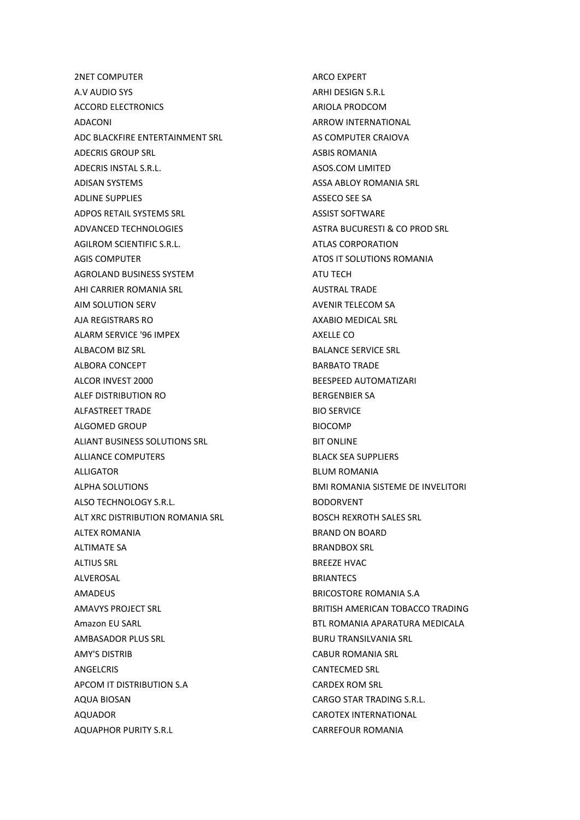2NET COMPUTER A.V AUDIO SYS ACCORD ELECTRONICS ADACONI ADC BLACKFIRE ENTERTAINMENT SRL ADECRIS GROUP SRL ADECRIS INSTAL S.R.L. ADISAN SYSTEMS ADLINE SUPPLIES ADPOS RETAIL SYSTEMS SRL ADVANCED TECHNOLOGIES AGILROM SCIENTIFIC S.R.L. AGIS COMPUTER AGROLAND BUSINESS SYSTEM AHI CARRIER ROMANIA SRL AIM SOLUTION SERV AJA REGISTRARS RO ALARM SERVICE '96 IMPEX ALBACOM BIZ SRL ALBORA CONCEPT ALCOR INVEST 2000 ALEF DISTRIBUTION RO ALFASTREET TRADE ALGOMED GROUP ALIANT BUSINESS SOLUTIONS SRL ALLIANCE COMPUTERS ALLIGATOR ALPHA SOLUTIONS ALSO TECHNOLOGY S.R.L. ALT XRC DISTRIBUTION ROMANIA SRL ALTEX ROMANIA ALTIMATE SA ALTIUS SRL ALVEROSAL AMADEUS AMAVYS PROJECT SRL Amazon EU SARL AMBASADOR PLUS SRL AMY'S DISTRIB ANGELCRIS APCOM IT DISTRIBUTION S.A AQUA BIOSAN AQUADOR AQUAPHOR PURITY S.R.L

ARCO EXPERT ARHI DESIGN S.R.L ARIOLA PRODCOM ARROW INTERNATIONAL AS COMPUTER CRAIOVA ASBIS ROMANIA ASOS.COM LIMITED ASSA ABLOY ROMANIA SRL ASSECO SEE SA ASSIST SOFTWARE ASTRA BUCURESTI & CO PROD SRL ATLAS CORPORATION ATOS IT SOLUTIONS ROMANIA ATU TECH AUSTRAL TRADE AVENIR TELECOM SA AXABIO MEDICAL SRL AXELLE CO BALANCE SERVICE SRL BARBATO TRADE BEESPEED AUTOMATIZARI BERGENBIER SA BIO SERVICE BIOCOMP BIT ONLINE BLACK SEA SUPPLIERS BLUM ROMANIA BMI ROMANIA SISTEME DE INVELITORI BODORVENT BOSCH REXROTH SALES SRL BRAND ON BOARD BRANDBOX SRL BREEZE HVAC **BRIANTECS** BRICOSTORE ROMANIA S.A BRITISH AMERICAN TOBACCO TRADING BTL ROMANIA APARATURA MEDICALA BURU TRANSILVANIA SRL CABUR ROMANIA SRL CANTECMED SRL CARDEX ROM SRL CARGO STAR TRADING S.R.L. CAROTEX INTERNATIONAL CARREFOUR ROMANIA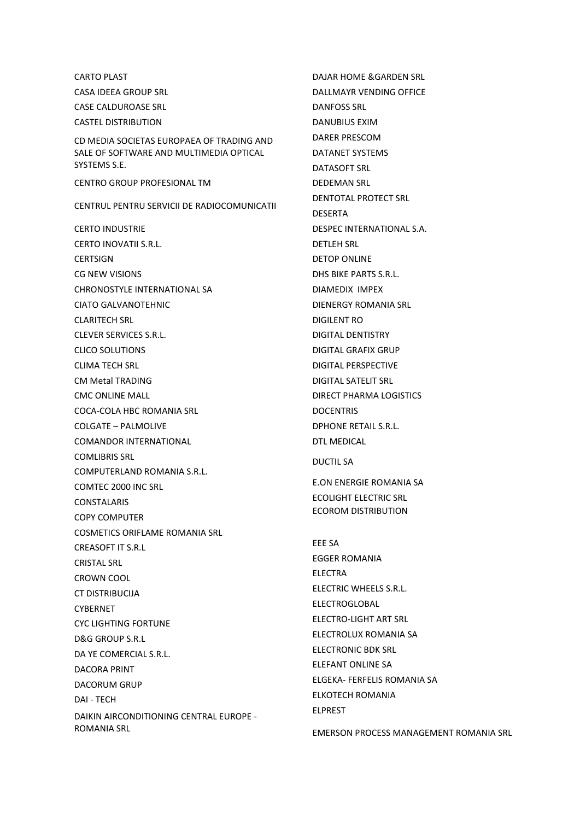CARTO PLAST CASA IDEEA GROUP SRL CASE CALDUROASE SRL CASTEL DISTRIBUTION CD MEDIA SOCIETAS EUROPAEA OF TRADING AND SALE OF SOFTWARE AND MULTIMEDIA OPTICAL SYSTEMS S.E. CENTRO GROUP PROFESIONAL TM CENTRUL PENTRU SERVICII DE RADIOCOMUNICATII CERTO INDUSTRIE CERTO INOVATII S.R.L. **CERTSIGN** CG NEW VISIONS CHRONOSTYLE INTERNATIONAL SA CIATO GALVANOTEHNIC CLARITECH SRL CLEVER SERVICES S.R.L. CLICO SOLUTIONS CLIMA TECH SRL CM Metal TRADING CMC ONLINE MALL COCA-COLA HBC ROMANIA SRL COLGATE – PALMOLIVE COMANDOR INTERNATIONAL COMLIBRIS SRL COMPUTERLAND ROMANIA S.R.L. COMTEC 2000 INC SRL CONSTALARIS COPY COMPUTER COSMETICS ORIFLAME ROMANIA SRL CREASOFT IT S.R.L CRISTAL SRL CROWN COOL CT DISTRIBUCIJA CYBERNET CYC LIGHTING FORTUNE D&G GROUP S.R.L DA YE COMERCIAL S.R.L. DACORA PRINT DACORUM GRUP DAI - TECH DAIKIN AIRCONDITIONING CENTRAL EUROPE - ROMANIA SRL

DAJAR HOME &GARDEN SRL DALLMAYR VENDING OFFICE DANFOSS SRL DANUBIUS EXIM DARER PRESCOM DATANET SYSTEMS DATASOFT SRL DEDEMAN SRL DENTOTAL PROTECT SRL DESERTA DESPEC INTERNATIONAL S.A. DETLEH SRL DETOP ONLINE DHS BIKE PARTS S.R.L. DIAMEDIX IMPEX DIENERGY ROMANIA SRL DIGILENT RO DIGITAL DENTISTRY DIGITAL GRAFIX GRUP DIGITAL PERSPECTIVE DIGITAL SATELIT SRL DIRECT PHARMA LOGISTICS DOCENTRIS DPHONE RETAIL S.R.L. DTL MEDICAL DUCTIL SA E.ON ENERGIE ROMANIA SA ECOLIGHT ELECTRIC SRL ECOROM DISTRIBUTION EEE SA EGGER ROMANIA ELECTRA ELECTRIC WHEELS S.R.L. ELECTROGLOBAL ELECTRO-LIGHT ART SRL ELECTROLUX ROMANIA SA ELECTRONIC BDK SRL ELEFANT ONLINE SA ELGEKA- FERFELIS ROMANIA SA ELKOTECH ROMANIA ELPREST

EMERSON PROCESS MANAGEMENT ROMANIA SRL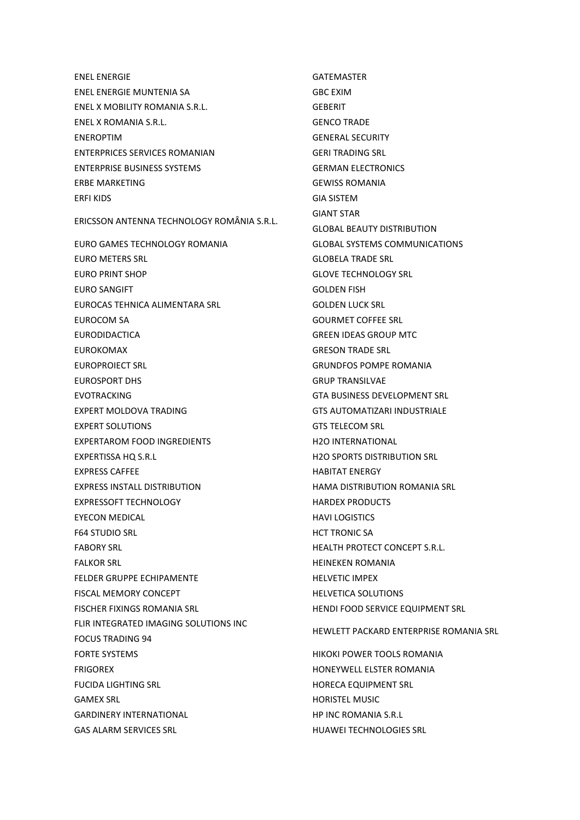ENEL ENERGIE ENEL ENERGIE MUNTENIA SA ENEL X MOBILITY ROMANIA S.R.L. ENEL X ROMANIA S.R.L. ENEROPTIM ENTERPRICES SERVICES ROMANIAN ENTERPRISE BUSINESS SYSTEMS ERBE MARKETING ERFI KIDS ERICSSON ANTENNA TECHNOLOGY ROMÂNIA S.R.L. EURO GAMES TECHNOLOGY ROMANIA EURO METERS SRL EURO PRINT SHOP EURO SANGIFT EUROCAS TEHNICA ALIMENTARA SRL EUROCOM SA EURODIDACTICA EUROKOMAX EUROPROIECT SRL EUROSPORT DHS EVOTRACKING EXPERT MOLDOVA TRADING EXPERT SOLUTIONS EXPERTAROM FOOD INGREDIENTS EXPERTISSA HQ S.R.L EXPRESS CAFFEE EXPRESS INSTALL DISTRIBUTION EXPRESSOFT TECHNOLOGY EYECON MEDICAL F64 STUDIO SRL FABORY SRL FALKOR SRL FELDER GRUPPE ECHIPAMENTE FISCAL MEMORY CONCEPT FISCHER FIXINGS ROMANIA SRL FLIR INTEGRATED IMAGING SOLUTIONS INC FOCUS TRADING 94 FORTE SYSTEMS FRIGOREX FUCIDA LIGHTING SRL GAMEX SRL GARDINERY INTERNATIONAL GAS ALARM SERVICES SRL

GATEMASTER GBC EXIM GEBERIT GENCO TRADE GENERAL SECURITY GERI TRADING SRL GERMAN ELECTRONICS GEWISS ROMANIA GIA SISTEM GIANT STAR GLOBAL BEAUTY DISTRIBUTION GLOBAL SYSTEMS COMMUNICATIONS GLOBELA TRADE SRL GLOVE TECHNOLOGY SRL GOLDEN FISH GOLDEN LUCK SRL GOURMET COFFEE SRL GREEN IDEAS GROUP MTC GRESON TRADE SRL GRUNDFOS POMPE ROMANIA GRUP TRANSILVAE GTA BUSINESS DEVELOPMENT SRL GTS AUTOMATIZARI INDUSTRIALE GTS TELECOM SRL H2O INTERNATIONAL H2O SPORTS DISTRIBUTION SRL HABITAT ENERGY HAMA DISTRIBUTION ROMANIA SRL HARDEX PRODUCTS HAVI LOGISTICS HCT TRONIC SA HEALTH PROTECT CONCEPT S.R.L. HEINEKEN ROMANIA HELVETIC IMPEX HELVETICA SOLUTIONS HENDI FOOD SERVICE EQUIPMENT SRL HEWLETT PACKARD ENTERPRISE ROMANIA SRL HIKOKI POWER TOOLS ROMANIA HONEYWELL ELSTER ROMANIA HORECA EQUIPMENT SRL HORISTEL MUSIC HP INC ROMANIA S.R.L

HUAWEI TECHNOLOGIES SRL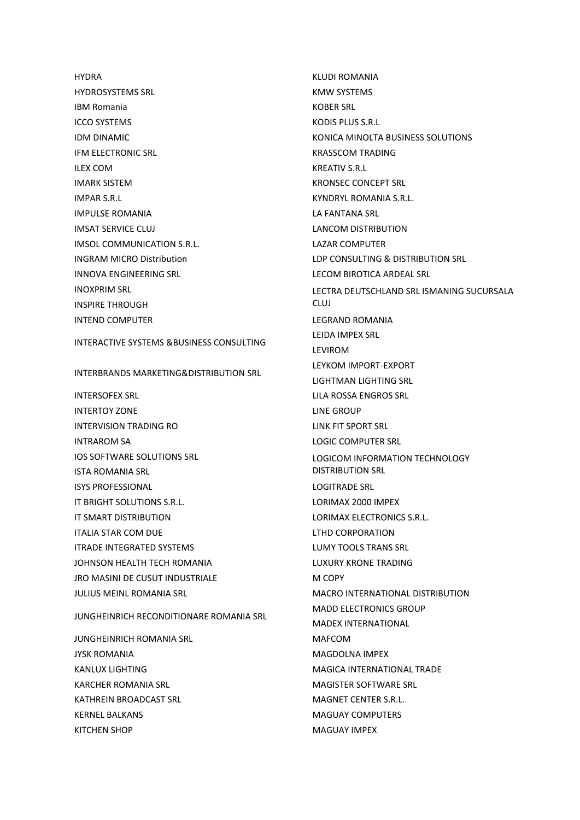**HYDRA** HYDROSYSTEMS SRL IBM Romania ICCO SYSTEMS IDM DINAMIC IFM ELECTRONIC SRL ILEX COM IMARK SISTEM IMPAR S.R.L IMPULSE ROMANIA IMSAT SERVICE CLUJ IMSOL COMMUNICATION S.R.L. INGRAM MICRO Distribution INNOVA ENGINEERING SRL INOXPRIM SRL INSPIRE THROUGH INTEND COMPUTER

INTERACTIVE SYSTEMS &BUSINESS CONSULTING

INTERBRANDS MARKETING&DISTRIBUTION SRL

INTERSOFEX SRL INTERTOY ZONE INTERVISION TRADING RO INTRAROM SA IOS SOFTWARE SOLUTIONS SRL ISTA ROMANIA SRL ISYS PROFESSIONAL IT BRIGHT SOLUTIONS S.R.L. IT SMART DISTRIBUTION ITALIA STAR COM DUE ITRADE INTEGRATED SYSTEMS JOHNSON HEALTH TECH ROMANIA JRO MASINI DE CUSUT INDUSTRIALE JULIUS MEINL ROMANIA SRL

JUNGHEINRICH RECONDITIONARE ROMANIA SRL

JUNGHEINRICH ROMANIA SRL JYSK ROMANIA KANLUX LIGHTING KARCHER ROMANIA SRL KATHREIN BROADCAST SRL KERNEL BALKANS KITCHEN SHOP

KLUDI ROMANIA KMW SYSTEMS KOBER SRL KODIS PLUS S.R.L KONICA MINOLTA BUSINESS SOLUTIONS KRASSCOM TRADING KREATIV S.R.L. KRONSEC CONCEPT SRL KYNDRYL ROMANIA S.R.L. LA FANTANA SRL LANCOM DISTRIBUTION LAZAR COMPUTER LDP CONSULTING & DISTRIBUTION SRL LECOM BIROTICA ARDEAL SRL LECTRA DEUTSCHLAND SRL ISMANING SUCURSALA CLUJ LEGRAND ROMANIA LEIDA IMPEX SRL LEVIROM LEYKOM IMPORT-EXPORT LIGHTMAN LIGHTING SRL LILA ROSSA ENGROS SRL LINE GROUP LINK FIT SPORT SRL LOGIC COMPUTER SRL LOGICOM INFORMATION TECHNOLOGY DISTRIBUTION SRL LOGITRADE SRL LORIMAX 2000 IMPEX LORIMAX ELECTRONICS S.R.L. LTHD CORPORATION LUMY TOOLS TRANS SRL LUXURY KRONE TRADING M COPY MACRO INTERNATIONAL DISTRIBUTION MADD ELECTRONICS GROUP MADEX INTERNATIONAL MAFCOM MAGDOLNA IMPEX MAGICA INTERNATIONAL TRADE MAGISTER SOFTWARE SRL MAGNET CENTER S.R.L. MAGUAY COMPUTERS MAGUAY IMPEX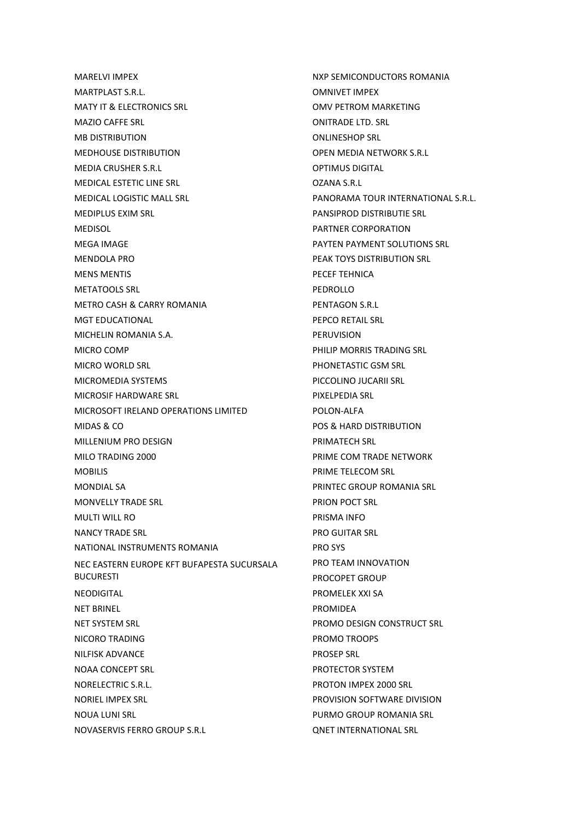MARELVI IMPEX MARTPLAST S.R.L. MATY IT & ELECTRONICS SRL MAZIO CAFFE SRL MB DISTRIBUTION MEDHOUSE DISTRIBUTION MEDIA CRUSHER S.R.L. MEDICAL ESTETIC LINE SRL MEDICAL LOGISTIC MALL SRL MEDIPLUS EXIM SRL MEDISOL MEGA IMAGE MENDOLA PRO MENS MENTIS METATOOLS SRL METRO CASH & CARRY ROMANIA MGT EDUCATIONAL MICHELIN ROMANIA S.A. MICRO COMP MICRO WORLD SRL MICROMEDIA SYSTEMS MICROSIF HARDWARE SRL MICROSOFT IRELAND OPERATIONS LIMITED MIDAS & CO MILLENIUM PRO DESIGN MILO TRADING 2000 MOBILIS MONDIAL SA MONVELLY TRADE SRL MULTI WILL RO NANCY TRADE SRL NATIONAL INSTRUMENTS ROMANIA NEC EASTERN EUROPE KFT BUFAPESTA SUCURSALA BUCURESTI NEODIGITAL NET BRINEL NET SYSTEM SRL NICORO TRADING NILFISK ADVANCE NOAA CONCEPT SRL NORELECTRIC S.R.L. NORIEL IMPEX SRL NOUA LUNI SRL NOVASERVIS FERRO GROUP S.R.L

NXP SEMICONDUCTORS ROMANIA OMNIVET IMPEX OMV PETROM MARKETING ONITRADE LTD. SRL ONLINESHOP SRL OPEN MEDIA NETWORK S.R.L OPTIMUS DIGITAL OZANA S.R.L PANORAMA TOUR INTERNATIONAL S.R.L. PANSIPROD DISTRIBUTIE SRL PARTNER CORPORATION PAYTEN PAYMENT SOLUTIONS SRL PEAK TOYS DISTRIBUTION SRL PECEF TEHNICA PEDROLLO PENTAGON S.R.L PEPCO RETAIL SRL PERUVISION PHILIP MORRIS TRADING SRL PHONETASTIC GSM SRL PICCOLINO JUCARII SRL PIXELPEDIA SRL POLON-ALFA POS & HARD DISTRIBUTION PRIMATECH SRL PRIME COM TRADE NETWORK PRIME TELECOM SRL PRINTEC GROUP ROMANIA SRL PRION POCT SRL PRISMA INFO PRO GUITAR SRL PRO SYS PRO TEAM INNOVATION PROCOPET GROUP PROMELEK XXI SA PROMIDEA PROMO DESIGN CONSTRUCT SRL PROMO TROOPS PROSEP SRL PROTECTOR SYSTEM PROTON IMPEX 2000 SRL PROVISION SOFTWARE DIVISION PURMO GROUP ROMANIA SRL QNET INTERNATIONAL SRL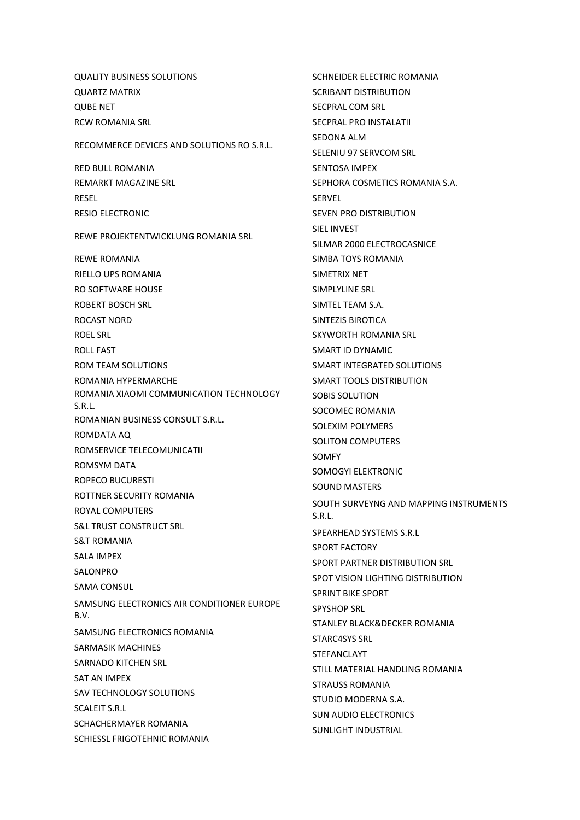QUALITY BUSINESS SOLUTIONS QUARTZ MATRIX QUBE NET RCW ROMANIA SRL RECOMMERCE DEVICES AND SOLUTIONS RO S.R.L. RED BULL ROMANIA REMARKT MAGAZINE SRL RESEL RESIO ELECTRONIC REWE PROJEKTENTWICKLUNG ROMANIA SRL REWE ROMANIA RIELLO UPS ROMANIA RO SOFTWARE HOUSE ROBERT BOSCH SRL ROCAST NORD ROEL SRL ROLL FAST ROM TEAM SOLUTIONS ROMANIA HYPERMARCHE ROMANIA XIAOMI COMMUNICATION TECHNOLOGY S.R.L. ROMANIAN BUSINESS CONSULT S.R.L. ROMDATA AQ ROMSERVICE TELECOMUNICATII ROMSYM DATA ROPECO BUCURESTI ROTTNER SECURITY ROMANIA ROYAL COMPUTERS S&L TRUST CONSTRUCT SRL S&T ROMANIA SALA IMPEX SALONPRO SAMA CONSUL SAMSUNG ELECTRONICS AIR CONDITIONER EUROPE B.V. SAMSUNG ELECTRONICS ROMANIA SARMASIK MACHINES SARNADO KITCHEN SRL SAT AN IMPEX SAV TECHNOLOGY SOLUTIONS SCALEIT S.R.L SCHACHERMAYER ROMANIA SCHIESSL FRIGOTEHNIC ROMANIA

SCHNEIDER ELECTRIC ROMANIA SCRIBANT DISTRIBUTION SECPRAL COM SRL SECPRAL PRO INSTALATII SEDONA ALM SELENIU 97 SERVCOM SRL SENTOSA IMPEX SEPHORA COSMETICS ROMANIA S.A. **SERVEL** SEVEN PRO DISTRIBUTION SIEL INVEST SILMAR 2000 ELECTROCASNICE SIMBA TOYS ROMANIA SIMETRIX NET SIMPLYLINE SRL SIMTEL TEAM S.A. SINTEZIS BIROTICA SKYWORTH ROMANIA SRL SMART ID DYNAMIC SMART INTEGRATED SOLUTIONS SMART TOOLS DISTRIBUTION SOBIS SOLUTION SOCOMEC ROMANIA SOLEXIM POLYMERS SOLITON COMPUTERS **SOMEY** SOMOGYI ELEKTRONIC SOUND MASTERS SOUTH SURVEYNG AND MAPPING INSTRUMENTS S.R.L. SPEARHEAD SYSTEMS S.R.L SPORT FACTORY SPORT PARTNER DISTRIBUTION SRL SPOT VISION LIGHTING DISTRIBUTION SPRINT BIKE SPORT [SPYSHOP SRL](javascript:void(0);) STANLEY BLACK&DECKER ROMANIA STARC4SYS SRL STEFANCLAYT STILL MATERIAL HANDLING ROMANIA STRAUSS ROMANIA STUDIO MODERNA S.A. SUN AUDIO ELECTRONICS SUNLIGHT INDUSTRIAL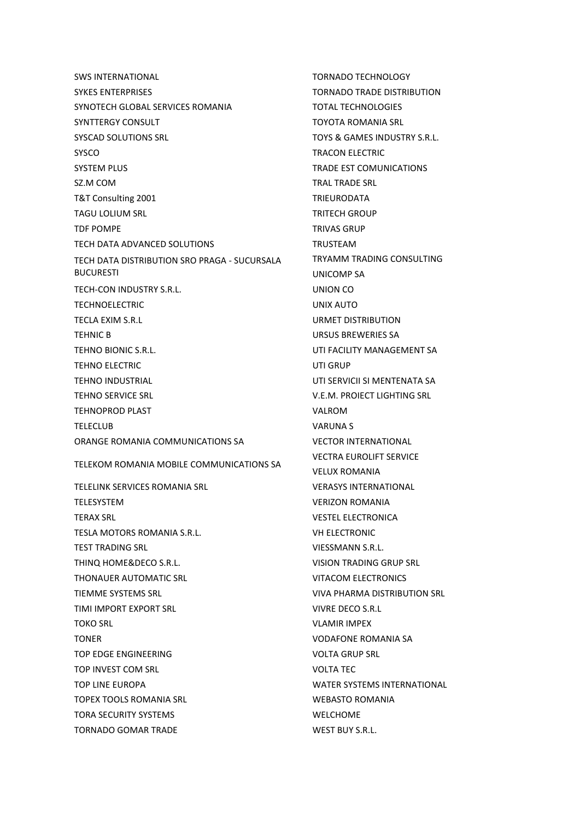SWS INTERNATIONAL SYKES ENTERPRISES SYNOTECH GLOBAL SERVICES ROMANIA SYNTTERGY CONSULT SYSCAD SOLUTIONS SRL SYSCO SYSTEM PLUS SZ.M COM T&T Consulting 2001 TAGU LOLIUM SRL TDF POMPE TECH DATA ADVANCED SOLUTIONS TECH DATA DISTRIBUTION SRO PRAGA - SUCURSALA BUCURESTI TECH-CON INDUSTRY S.R.L. TECHNOELECTRIC TECLA EXIM S.R.L TEHNIC B TEHNO BIONIC S.R.L. TEHNO ELECTRIC TEHNO INDUSTRIAL TEHNO SERVICE SRL TEHNOPROD PLAST TELECLUB ORANGE ROMANIA COMMUNICATIONS SA TELEKOM ROMANIA MOBILE COMMUNICATIONS SA TELELINK SERVICES ROMANIA SRL TELESYSTEM TERAX SRL TESLA MOTORS ROMANIA S.R.L. TEST TRADING SRL THINQ HOME&DECO S.R.L. THONAUER AUTOMATIC SRL TIEMME SYSTEMS SRL TIMI IMPORT EXPORT SRL TOKO SRL TONER TOP EDGE ENGINEERING TOP INVEST COM SRL TOP LINE EUROPA TOPEX TOOLS ROMANIA SRL TORA SECURITY SYSTEMS TORNADO GOMAR TRADE

TORNADO TECHNOLOGY TORNADO TRADE DISTRIBUTION TOTAL TECHNOLOGIES TOYOTA ROMANIA SRL TOYS & GAMES INDUSTRY S.R.L. TRACON ELECTRIC TRADE EST COMUNICATIONS TRAL TRADE SRL TRIEURODATA TRITECH GROUP TRIVAS GRUP TRUSTEAM TRYAMM TRADING CONSULTING UNICOMP SA UNION CO UNIX AUTO URMET DISTRIBUTION URSUS BREWERIES SA UTI FACILITY MANAGEMENT SA UTI GRUP UTI SERVICII SI MENTENATA SA V.E.M. PROIECT LIGHTING SRL VALROM VARUNA S VECTOR INTERNATIONAL VECTRA EUROLIFT SERVICE VELUX ROMANIA VERASYS INTERNATIONAL VERIZON ROMANIA VESTEL ELECTRONICA VH ELECTRONIC VIESSMANN S.R.L. VISION TRADING GRUP SRL VITACOM ELECTRONICS VIVA PHARMA DISTRIBUTION SRL VIVRE DECO S.R.L VLAMIR IMPEX VODAFONE ROMANIA SA VOLTA GRUP SRL VOLTA TEC WATER SYSTEMS INTERNATIONAL WEBASTO ROMANIA WELCHOME WEST BUY S.R.L.